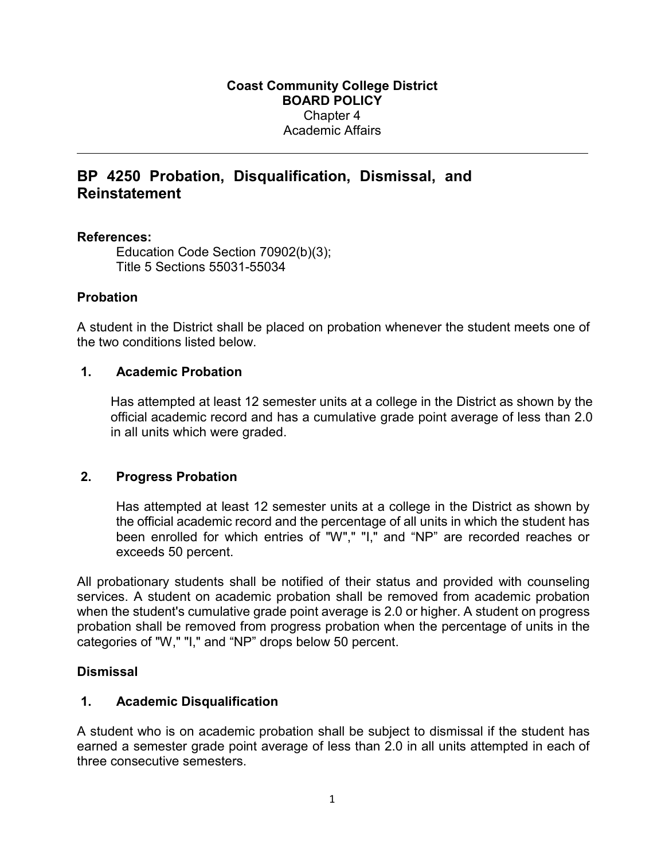# **BP 4250 Probation, Disqualification, Dismissal, and Reinstatement**

### **References:**

Education Code Section 70902(b)(3); Title 5 Sections 55031-55034

## **Probation**

A student in the District shall be placed on probation whenever the student meets one of the two conditions listed below.

### **1. Academic Probation**

Has attempted at least 12 semester units at a college in the District as shown by the official academic record and has a cumulative grade point average of less than 2.0 in all units which were graded.

## **2. Progress Probation**

Has attempted at least 12 semester units at a college in the District as shown by the official academic record and the percentage of all units in which the student has been enrolled for which entries of "W"," "I," and "NP" are recorded reaches or exceeds 50 percent.

All probationary students shall be notified of their status and provided with counseling services. A student on academic probation shall be removed from academic probation when the student's cumulative grade point average is 2.0 or higher. A student on progress probation shall be removed from progress probation when the percentage of units in the categories of "W," "I," and "NP" drops below 50 percent.

### **Dismissal**

### **1. Academic Disqualification**

A student who is on academic probation shall be subject to dismissal if the student has earned a semester grade point average of less than 2.0 in all units attempted in each of three consecutive semesters.